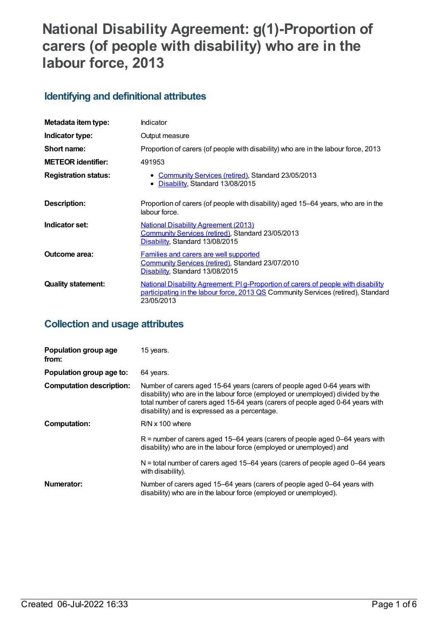# **National Disability Agreement: g(1)-Proportion of carers (of people with disability) who are in the labour force, 2013**

# **Identifying and definitional attributes**

| Metadata item type:         | Indicator                                                                                                                                                                                    |
|-----------------------------|----------------------------------------------------------------------------------------------------------------------------------------------------------------------------------------------|
| Indicator type:             | Output measure                                                                                                                                                                               |
| Short name:                 | Proportion of carers (of people with disability) who are in the labour force, 2013                                                                                                           |
| <b>METEOR identifier:</b>   | 491953                                                                                                                                                                                       |
| <b>Registration status:</b> | • Community Services (retired), Standard 23/05/2013<br>• Disability, Standard 13/08/2015                                                                                                     |
| <b>Description:</b>         | Proportion of carers (of people with disability) aged 15–64 years, who are in the<br>labour force.                                                                                           |
| Indicator set:              | <b>National Disability Agreement (2013)</b><br>Community Services (retired), Standard 23/05/2013<br>Disability, Standard 13/08/2015                                                          |
| Outcome area:               | <b>Families and carers are well supported</b><br>Community Services (retired), Standard 23/07/2010<br>Disability, Standard 13/08/2015                                                        |
| <b>Quality statement:</b>   | <u>National Disability Agreement: PI g-Proportion of carers of people with disability</u><br>participating in the labour force, 2013 QS Community Services (retired), Standard<br>23/05/2013 |

# **Collection and usage attributes**

| Population group age<br>from:   | 15 years.                                                                                                                                                                                                                                                                                      |
|---------------------------------|------------------------------------------------------------------------------------------------------------------------------------------------------------------------------------------------------------------------------------------------------------------------------------------------|
| Population group age to:        | 64 years.                                                                                                                                                                                                                                                                                      |
| <b>Computation description:</b> | Number of carers aged 15-64 years (carers of people aged 0-64 years with<br>disability) who are in the labour force (employed or unemployed) divided by the<br>total number of carers aged 15-64 years (carers of people aged 0-64 years with<br>disability) and is expressed as a percentage. |
| Computation:                    | $R/N \times 100$ where                                                                                                                                                                                                                                                                         |
|                                 | $R$ = number of carers aged 15–64 years (carers of people aged 0–64 years with<br>disability) who are in the labour force (employed or unemployed) and                                                                                                                                         |
|                                 | $N =$ total number of carers aged 15–64 years (carers of people aged 0–64 years<br>with disability).                                                                                                                                                                                           |
| Numerator:                      | Number of carers aged 15-64 years (carers of people aged 0-64 years with<br>disability) who are in the labour force (employed or unemployed).                                                                                                                                                  |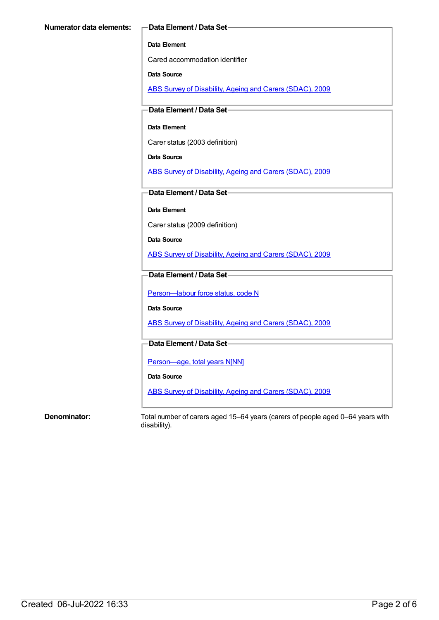#### **Data Element**

Cared accommodation identifier

**Data Source**

ABS Survey of [Disability,](https://meteor.aihw.gov.au/content/445288) Ageing and Carers (SDAC), 2009

**Data Element / Data Set**

## **Data Element**

Carer status (2003 definition)

**Data Source**

ABS Survey of [Disability,](https://meteor.aihw.gov.au/content/445288) Ageing and Carers (SDAC), 2009

**Data Element / Data Set**

**Data Element**

Carer status (2009 definition)

**Data Source**

ABS Survey of [Disability,](https://meteor.aihw.gov.au/content/445288) Ageing and Carers (SDAC), 2009

## **Data Element / Data Set**

Person-labour force status, code N

**Data Source**

ABS Survey of [Disability,](https://meteor.aihw.gov.au/content/445288) Ageing and Carers (SDAC), 2009

# **Data Element / Data Set**

[Person—age,](https://meteor.aihw.gov.au/content/303794) total years N[NN]

**Data Source**

ABS Survey of [Disability,](https://meteor.aihw.gov.au/content/445288) Ageing and Carers (SDAC), 2009

**Denominator:** Total number of carers aged 15–64 years (carers of people aged 0–64 years with disability).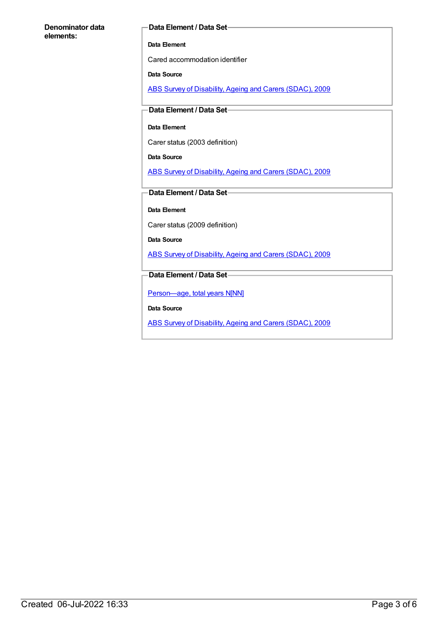### **Denominator data elements:**

### **Data Element / Data Set**

### **Data Element**

Cared accommodation identifier

## **Data Source**

ABS Survey of [Disability,](https://meteor.aihw.gov.au/content/445288) Ageing and Carers (SDAC), 2009

## **Data Element / Data Set**

## **Data Element**

Carer status (2003 definition)

**Data Source**

ABS Survey of [Disability,](https://meteor.aihw.gov.au/content/445288) Ageing and Carers (SDAC), 2009

## **Data Element / Data Set**

**Data Element**

Carer status (2009 definition)

**Data Source**

ABS Survey of [Disability,](https://meteor.aihw.gov.au/content/445288) Ageing and Carers (SDAC), 2009

## **Data Element / Data Set**

[Person—age,](https://meteor.aihw.gov.au/content/303794) total years N[NN]

**Data Source**

ABS Survey of [Disability,](https://meteor.aihw.gov.au/content/445288) Ageing and Carers (SDAC), 2009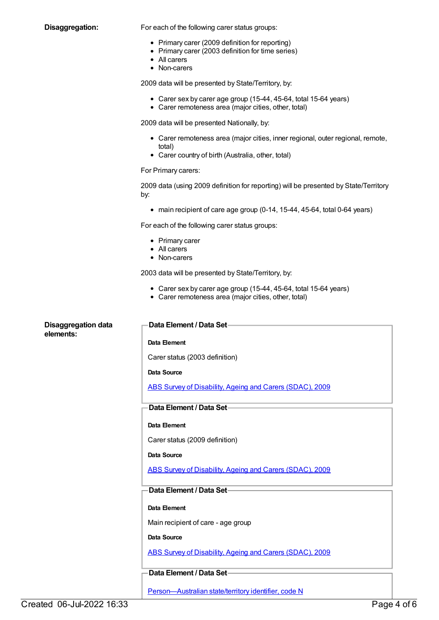**Disaggregation:** For each of the following carer status groups:

- Primary carer (2009 definition for reporting)
- Primary carer (2003 definition for time series)
- All carers
- Non-carers

2009 data will be presented by State/Territory, by:

- Carer sex by carer age group (15-44, 45-64, total 15-64 years)
- Carer remoteness area (major cities, other, total)

2009 data will be presented Nationally, by:

- Carer remoteness area (major cities, inner regional, outer regional, remote, total)
- Carer country of birth (Australia, other, total)

#### For Primary carers:

2009 data (using 2009 definition for reporting) will be presented by State/Territory by:

main recipient of care age group (0-14, 15-44, 45-64, total 0-64 years)

For each of the following carer status groups:

- Primary carer
- All carers
- Non-carers

2003 data will be presented by State/Territory, by:

- Carer sex by carer age group (15-44, 45-64, total 15-64 years)
- Carer remoteness area (major cities, other, total)

# **Disaggregation data elements: Data Element / Data Set Data Element** Carer status (2003 definition) **Data Source** ABS Survey of [Disability,](https://meteor.aihw.gov.au/content/445288) Ageing and Carers (SDAC), 2009 **Data Element / Data Set Data Element** Carer status (2009 definition) **Data Source** ABS Survey of [Disability,](https://meteor.aihw.gov.au/content/445288) Ageing and Carers (SDAC), 2009 **Data Element / Data Set Data Element** Main recipient of care - age group **Data Source** ABS Survey of [Disability,](https://meteor.aihw.gov.au/content/445288) Ageing and Carers (SDAC), 2009 **Data Element / Data Set** [Person—Australian](https://meteor.aihw.gov.au/content/286919) state/territory identifier, code N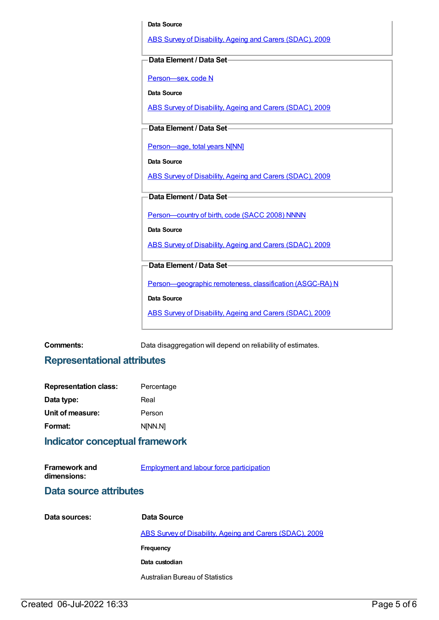# **Data Source** ABS Survey of [Disability,](https://meteor.aihw.gov.au/content/445288) Ageing and Carers (SDAC), 2009 **Data Element / Data Set** [Person—sex,](https://meteor.aihw.gov.au/content/287316) code N **Data Source** ABS Survey of [Disability,](https://meteor.aihw.gov.au/content/445288) Ageing and Carers (SDAC), 2009 **Data Element / Data Set** [Person—age,](https://meteor.aihw.gov.au/content/303794) total years N[NN] **Data Source** ABS Survey of [Disability,](https://meteor.aihw.gov.au/content/445288) Ageing and Carers (SDAC), 2009 **Data Element / Data Set** [Person—country](https://meteor.aihw.gov.au/content/370943) of birth, code (SACC 2008) NNNN **Data Source** ABS Survey of [Disability,](https://meteor.aihw.gov.au/content/445288) Ageing and Carers (SDAC), 2009 **Data Element / Data Set** [Person—geographic](https://meteor.aihw.gov.au/content/489826) remoteness, classification (ASGC-RA) N **Data Source** ABS Survey of [Disability,](https://meteor.aihw.gov.au/content/445288) Ageing and Carers (SDAC), 2009

**Comments:** Data disaggregation will depend on reliability of estimates.

# **Representational attributes**

| <b>Representation class:</b> | Percentage |
|------------------------------|------------|
| Data type:                   | Real       |
| Unit of measure:             | Person     |
| Format:                      | N[NN.N]    |

# **Indicator conceptual framework**

| <b>Framework and</b> | <b>Employment and labour force participation</b> |
|----------------------|--------------------------------------------------|
| dimensions:          |                                                  |

# **Data source attributes**

| Data sources: | Data Source                                              |
|---------------|----------------------------------------------------------|
|               | ABS Survey of Disability, Ageing and Carers (SDAC), 2009 |
|               | Frequency                                                |
|               | Data custodian                                           |
|               | <b>Australian Bureau of Statistics</b>                   |